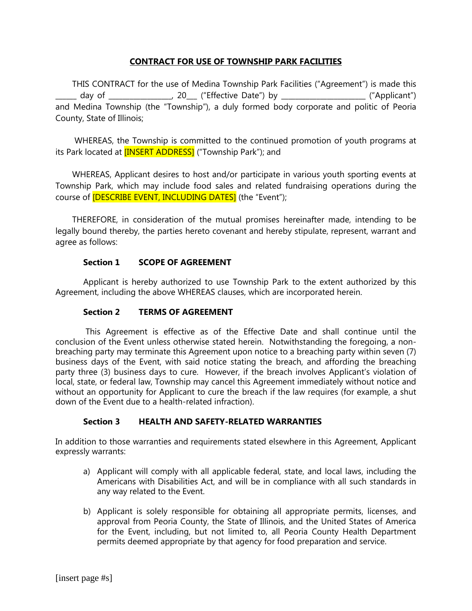# **CONTRACT FOR USE OF TOWNSHIP PARK FACILITIES**

THIS CONTRACT for the use of Medina Township Park Facilities ("Agreement") is made this \_\_\_\_\_\_ day of \_\_\_\_\_\_\_\_\_\_\_\_\_\_\_\_\_\_, 20\_\_\_ ("Effective Date") by \_\_\_\_\_\_\_\_\_\_\_\_\_\_\_\_\_\_\_\_\_\_\_\_ ("Applicant") and Medina Township (the "Township"), a duly formed body corporate and politic of Peoria County, State of Illinois;

WHEREAS, the Township is committed to the continued promotion of youth programs at its Park located at **[INSERT ADDRESS]** ("Township Park"); and

WHEREAS, Applicant desires to host and/or participate in various youth sporting events at Township Park, which may include food sales and related fundraising operations during the course of **[DESCRIBE EVENT, INCLUDING DATES]** (the "Event");

THEREFORE, in consideration of the mutual promises hereinafter made, intending to be legally bound thereby, the parties hereto covenant and hereby stipulate, represent, warrant and agree as follows:

# **Section 1 SCOPE OF AGREEMENT**

Applicant is hereby authorized to use Township Park to the extent authorized by this Agreement, including the above WHEREAS clauses, which are incorporated herein.

# **Section 2 TERMS OF AGREEMENT**

This Agreement is effective as of the Effective Date and shall continue until the conclusion of the Event unless otherwise stated herein. Notwithstanding the foregoing, a nonbreaching party may terminate this Agreement upon notice to a breaching party within seven (7) business days of the Event, with said notice stating the breach, and affording the breaching party three (3) business days to cure. However, if the breach involves Applicant's violation of local, state, or federal law, Township may cancel this Agreement immediately without notice and without an opportunity for Applicant to cure the breach if the law requires (for example, a shut down of the Event due to a health-related infraction).

# **Section 3 HEALTH AND SAFETY-RELATED WARRANTIES**

In addition to those warranties and requirements stated elsewhere in this Agreement, Applicant expressly warrants:

- a) Applicant will comply with all applicable federal, state, and local laws, including the Americans with Disabilities Act, and will be in compliance with all such standards in any way related to the Event.
- b) Applicant is solely responsible for obtaining all appropriate permits, licenses, and approval from Peoria County, the State of Illinois, and the United States of America for the Event, including, but not limited to, all Peoria County Health Department permits deemed appropriate by that agency for food preparation and service.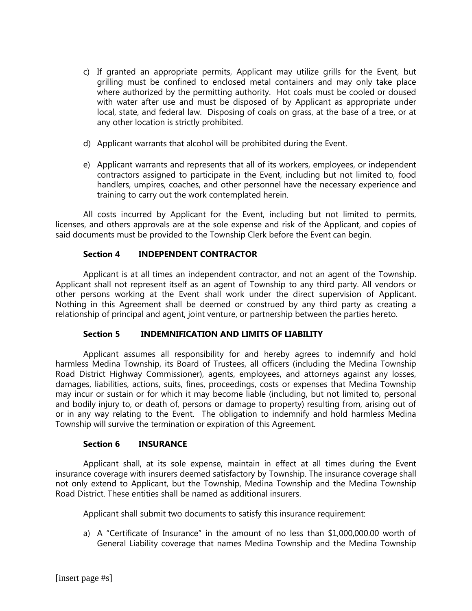- c) If granted an appropriate permits, Applicant may utilize grills for the Event, but grilling must be confined to enclosed metal containers and may only take place where authorized by the permitting authority. Hot coals must be cooled or doused with water after use and must be disposed of by Applicant as appropriate under local, state, and federal law. Disposing of coals on grass, at the base of a tree, or at any other location is strictly prohibited.
- d) Applicant warrants that alcohol will be prohibited during the Event.
- e) Applicant warrants and represents that all of its workers, employees, or independent contractors assigned to participate in the Event, including but not limited to, food handlers, umpires, coaches, and other personnel have the necessary experience and training to carry out the work contemplated herein.

All costs incurred by Applicant for the Event, including but not limited to permits, licenses, and others approvals are at the sole expense and risk of the Applicant, and copies of said documents must be provided to the Township Clerk before the Event can begin.

# **Section 4 INDEPENDENT CONTRACTOR**

Applicant is at all times an independent contractor, and not an agent of the Township. Applicant shall not represent itself as an agent of Township to any third party. All vendors or other persons working at the Event shall work under the direct supervision of Applicant. Nothing in this Agreement shall be deemed or construed by any third party as creating a relationship of principal and agent, joint venture, or partnership between the parties hereto.

# **Section 5 INDEMNIFICATION AND LIMITS OF LIABILITY**

Applicant assumes all responsibility for and hereby agrees to indemnify and hold harmless Medina Township, its Board of Trustees, all officers (including the Medina Township Road District Highway Commissioner), agents, employees, and attorneys against any losses, damages, liabilities, actions, suits, fines, proceedings, costs or expenses that Medina Township may incur or sustain or for which it may become liable (including, but not limited to, personal and bodily injury to, or death of, persons or damage to property) resulting from, arising out of or in any way relating to the Event. The obligation to indemnify and hold harmless Medina Township will survive the termination or expiration of this Agreement.

# **Section 6 INSURANCE**

Applicant shall, at its sole expense, maintain in effect at all times during the Event insurance coverage with insurers deemed satisfactory by Township. The insurance coverage shall not only extend to Applicant, but the Township, Medina Township and the Medina Township Road District. These entities shall be named as additional insurers.

Applicant shall submit two documents to satisfy this insurance requirement:

a) A "Certificate of Insurance" in the amount of no less than \$1,000,000.00 worth of General Liability coverage that names Medina Township and the Medina Township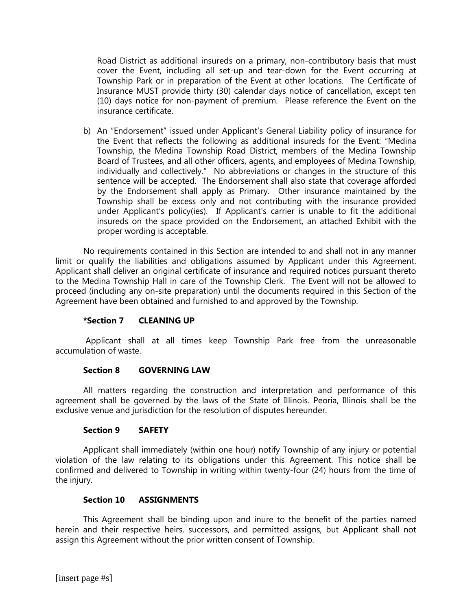Road District as additional insureds on a primary, non-contributory basis that must cover the Event, including all set-up and tear-down for the Event occurring at Township Park or in preparation of the Event at other locations. The Certificate of Insurance MUST provide thirty (30) calendar days notice of cancellation, except ten (10) days notice for non-payment of premium. Please reference the Event on the insurance certificate.

b) An "Endorsement" issued under Applicant's General Liability policy of insurance for the Event that reflects the following as additional insureds for the Event: "Medina Township, the Medina Township Road District, members of the Medina Township Board of Trustees, and all other officers, agents, and employees of Medina Township, individually and collectively." No abbreviations or changes in the structure of this sentence will be accepted. The Endorsement shall also state that coverage afforded by the Endorsement shall apply as Primary. Other insurance maintained by the Township shall be excess only and not contributing with the insurance provided under Applicant's policy(ies). If Applicant's carrier is unable to fit the additional insureds on the space provided on the Endorsement, an attached Exhibit with the proper wording is acceptable.

No requirements contained in this Section are intended to and shall not in any manner limit or qualify the liabilities and obligations assumed by Applicant under this Agreement. Applicant shall deliver an original certificate of insurance and required notices pursuant thereto to the Medina Township Hall in care of the Township Clerk. The Event will not be allowed to proceed (including any on-site preparation) until the documents required in this Section of the Agreement have been obtained and furnished to and approved by the Township.

# **\*Section 7 CLEANING UP**

Applicant shall at all times keep Township Park free from the unreasonable accumulation of waste.

#### **Section 8 GOVERNING LAW**

All matters regarding the construction and interpretation and performance of this agreement shall be governed by the laws of the State of Illinois. Peoria, Illinois shall be the exclusive venue and jurisdiction for the resolution of disputes hereunder.

#### **Section 9 SAFETY**

Applicant shall immediately (within one hour) notify Township of any injury or potential violation of the law relating to its obligations under this Agreement. This notice shall be confirmed and delivered to Township in writing within twenty-four (24) hours from the time of the injury.

#### **Section 10 ASSIGNMENTS**

This Agreement shall be binding upon and inure to the benefit of the parties named herein and their respective heirs, successors, and permitted assigns, but Applicant shall not assign this Agreement without the prior written consent of Township.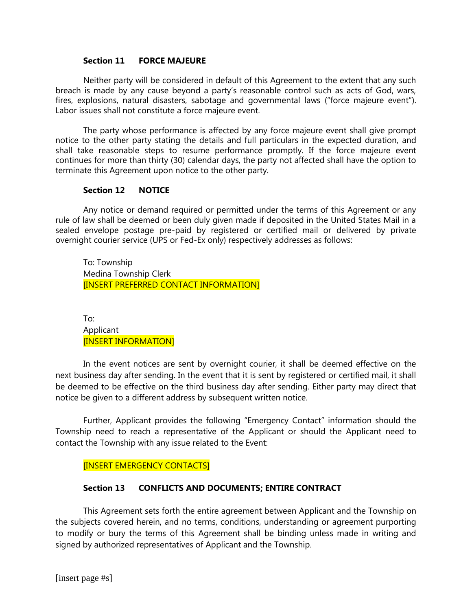### **Section 11 FORCE MAJEURE**

Neither party will be considered in default of this Agreement to the extent that any such breach is made by any cause beyond a party's reasonable control such as acts of God, wars, fires, explosions, natural disasters, sabotage and governmental laws ("force majeure event"). Labor issues shall not constitute a force majeure event.

The party whose performance is affected by any force majeure event shall give prompt notice to the other party stating the details and full particulars in the expected duration, and shall take reasonable steps to resume performance promptly. If the force majeure event continues for more than thirty (30) calendar days, the party not affected shall have the option to terminate this Agreement upon notice to the other party.

# **Section 12 NOTICE**

Any notice or demand required or permitted under the terms of this Agreement or any rule of law shall be deemed or been duly given made if deposited in the United States Mail in a sealed envelope postage pre-paid by registered or certified mail or delivered by private overnight courier service (UPS or Fed-Ex only) respectively addresses as follows:

To: Township Medina Township Clerk [INSERT PREFERRED CONTACT INFORMATION]

To: Applicant [INSERT INFORMATION]

In the event notices are sent by overnight courier, it shall be deemed effective on the next business day after sending. In the event that it is sent by registered or certified mail, it shall be deemed to be effective on the third business day after sending. Either party may direct that notice be given to a different address by subsequent written notice.

Further, Applicant provides the following "Emergency Contact" information should the Township need to reach a representative of the Applicant or should the Applicant need to contact the Township with any issue related to the Event:

# [INSERT EMERGENCY CONTACTS]

# **Section 13 CONFLICTS AND DOCUMENTS; ENTIRE CONTRACT**

This Agreement sets forth the entire agreement between Applicant and the Township on the subjects covered herein, and no terms, conditions, understanding or agreement purporting to modify or bury the terms of this Agreement shall be binding unless made in writing and signed by authorized representatives of Applicant and the Township.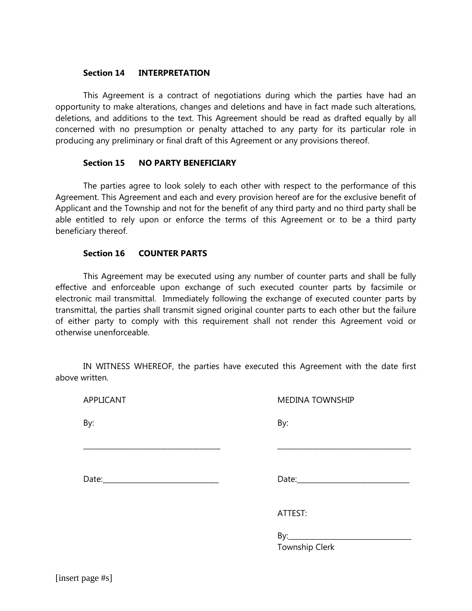### **Section 14 INTERPRETATION**

This Agreement is a contract of negotiations during which the parties have had an opportunity to make alterations, changes and deletions and have in fact made such alterations, deletions, and additions to the text. This Agreement should be read as drafted equally by all concerned with no presumption or penalty attached to any party for its particular role in producing any preliminary or final draft of this Agreement or any provisions thereof.

# **Section 15 NO PARTY BENEFICIARY**

The parties agree to look solely to each other with respect to the performance of this Agreement. This Agreement and each and every provision hereof are for the exclusive benefit of Applicant and the Township and not for the benefit of any third party and no third party shall be able entitled to rely upon or enforce the terms of this Agreement or to be a third party beneficiary thereof.

### **Section 16 COUNTER PARTS**

This Agreement may be executed using any number of counter parts and shall be fully effective and enforceable upon exchange of such executed counter parts by facsimile or electronic mail transmittal. Immediately following the exchange of executed counter parts by transmittal, the parties shall transmit signed original counter parts to each other but the failure of either party to comply with this requirement shall not render this Agreement void or otherwise unenforceable.

IN WITNESS WHEREOF, the parties have executed this Agreement with the date first above written.

\_\_\_\_\_\_\_\_\_\_\_\_\_\_\_\_\_\_\_\_\_\_\_\_\_\_\_\_\_\_\_\_\_\_\_\_\_\_\_ \_\_\_\_\_\_\_\_\_\_\_\_\_\_\_\_\_\_\_\_\_\_\_\_\_\_\_\_\_\_\_\_\_\_\_\_\_\_

APPLICANT MEDINA TOWNSHIP

By: By:

Date:\_\_\_\_\_\_\_\_\_\_\_\_\_\_\_\_\_\_\_\_\_\_\_\_\_\_\_\_\_\_\_\_\_ Date:\_\_\_\_\_\_\_\_\_\_\_\_\_\_\_\_\_\_\_\_\_\_\_\_\_\_\_\_\_\_\_\_

ATTEST:

By:\_\_\_\_\_\_\_\_\_\_\_\_\_\_\_\_\_\_\_\_\_\_\_\_\_\_\_\_\_\_\_\_\_\_\_ Township Clerk